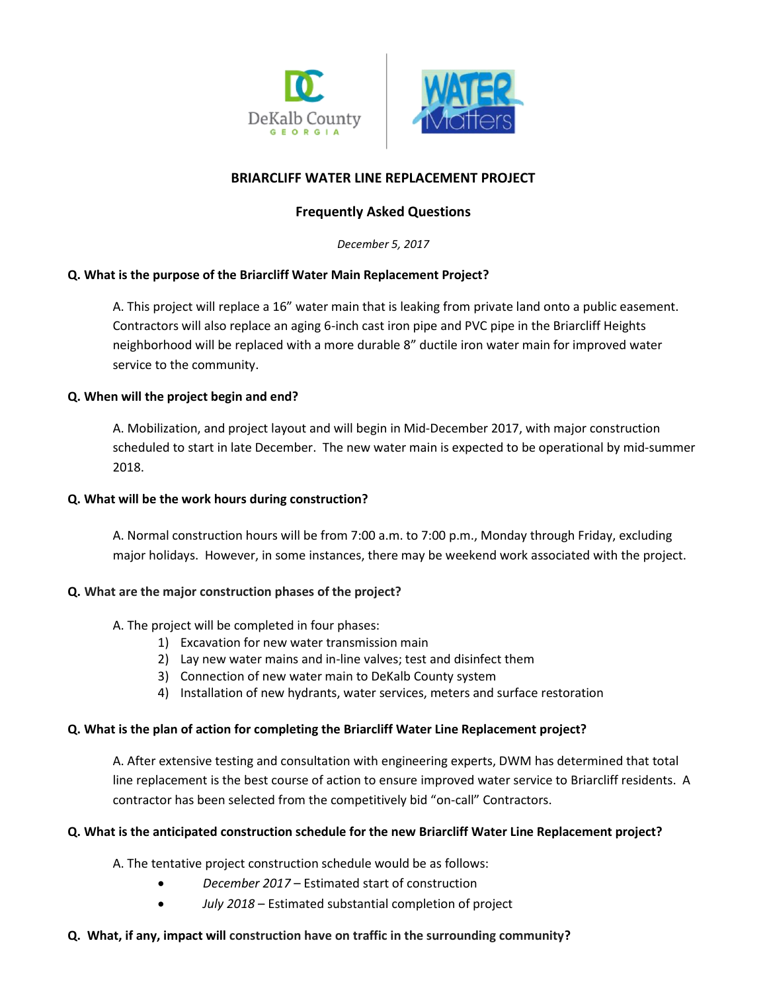

# **BRIARCLIFF WATER LINE REPLACEMENT PROJECT**

## **Frequently Asked Questions**

*December 5, 2017*

### **Q. What is the purpose of the Briarcliff Water Main Replacement Project?**

A. This project will replace a 16" water main that is leaking from private land onto a public easement. Contractors will also replace an aging 6-inch cast iron pipe and PVC pipe in the Briarcliff Heights neighborhood will be replaced with a more durable 8" ductile iron water main for improved water service to the community.

### **Q. When will the project begin and end?**

A. Mobilization, and project layout and will begin in Mid-December 2017, with major construction scheduled to start in late December. The new water main is expected to be operational by mid-summer 2018.

#### **Q. What will be the work hours during construction?**

A. Normal construction hours will be from 7:00 a.m. to 7:00 p.m., Monday through Friday, excluding major holidays. However, in some instances, there may be weekend work associated with the project.

#### **Q. What are the major construction phases of the project?**

#### A. The project will be completed in four phases:

- 1) Excavation for new water transmission main
- 2) Lay new water mains and in-line valves; test and disinfect them
- 3) Connection of new water main to DeKalb County system
- 4) Installation of new hydrants, water services, meters and surface restoration

#### **Q. What is the plan of action for completing the Briarcliff Water Line Replacement project?**

A. After extensive testing and consultation with engineering experts, DWM has determined that total line replacement is the best course of action to ensure improved water service to Briarcliff residents. A contractor has been selected from the competitively bid "on-call" Contractors.

#### **Q. What is the anticipated construction schedule for the new Briarcliff Water Line Replacement project?**

A. The tentative project construction schedule would be as follows:

- *December 2017* Estimated start of construction
	- *July 2018* Estimated substantial completion of project

#### **Q. What, if any, impact will construction have on traffic in the surrounding community?**